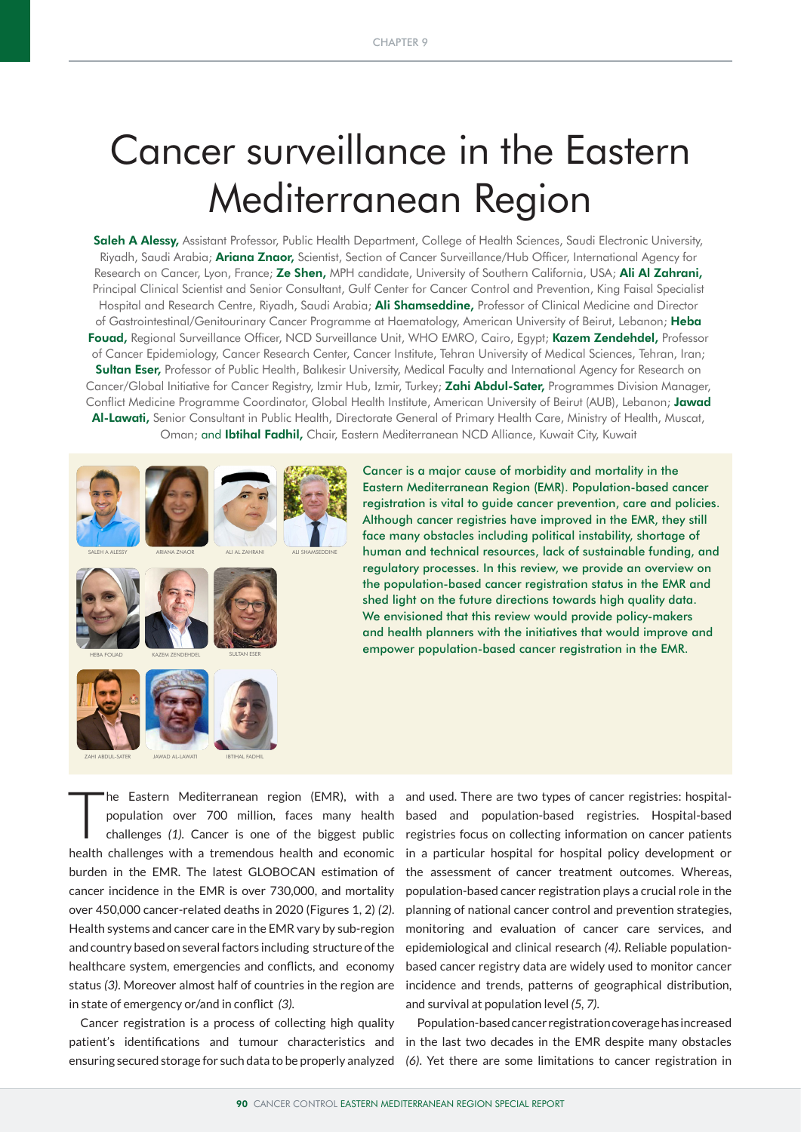# Cancer surveillance in the Eastern Mediterranean Region

Saleh A Alessy, Assistant Professor, Public Health Department, College of Health Sciences, Saudi Electronic University, Riyadh, Saudi Arabia; **Ariana Znaor,** Scientist, Section of Cancer Surveillance/Hub Officer, International Agency for Research on Cancer, Lyon, France; Ze Shen, MPH candidate, University of Southern California, USA; Ali Al Zahrani, Principal Clinical Scientist and Senior Consultant, Gulf Center for Cancer Control and Prevention, King Faisal Specialist Hospital and Research Centre, Riyadh, Saudi Arabia; **Ali Shamseddine,** Professor of Clinical Medicine and Director of Gastrointestinal/Genitourinary Cancer Programme at Haematology, American University of Beirut, Lebanon; Heba Fouad, Regional Surveillance Officer, NCD Surveillance Unit, WHO EMRO, Cairo, Egypt; Kazem Zendehdel, Professor of Cancer Epidemiology, Cancer Research Center, Cancer Institute, Tehran University of Medical Sciences, Tehran, Iran; Sultan Eser, Professor of Public Health, Balıkesir University, Medical Faculty and International Agency for Research on Cancer/Global Initiative for Cancer Registry, Izmir Hub, Izmir, Turkey; Zahi Abdul-Sater, Programmes Division Manager, Conflict Medicine Programme Coordinator, Global Health Institute, American University of Beirut (AUB), Lebanon; Jawad Al-Lawati, Senior Consultant in Public Health, Directorate General of Primary Health Care, Ministry of Health, Muscat, Oman; and Ibtihal Fadhil, Chair, Eastern Mediterranean NCD Alliance, Kuwait City, Kuwait



Cancer is a major cause of morbidity and mortality in the Eastern Mediterranean Region (EMR). Population-based cancer registration is vital to guide cancer prevention, care and policies. Although cancer registries have improved in the EMR, they still face many obstacles including political instability, shortage of human and technical resources, lack of sustainable funding, and regulatory processes. In this review, we provide an overview on the population-based cancer registration status in the EMR and shed light on the future directions towards high quality data. We envisioned that this review would provide policy-makers and health planners with the initiatives that would improve and empower population-based cancer registration in the EMR.

The Eastern Mediterranean region (EMR), with a population over 700 million, faces many health challenges (1). Cancer is one of the biggest public population over 700 million, faces many health challenges *(1).* Cancer is one of the biggest public health challenges with a tremendous health and economic burden in the EMR. The latest GLOBOCAN estimation of cancer incidence in the EMR is over 730,000, and mortality over 450,000 cancer-related deaths in 2020 (Figures 1, 2) *(2)*. Health systems and cancer care in the EMR vary by sub-region and country based on several factors including structure of the healthcare system, emergencies and conflicts, and economy status *(3)*. Moreover almost half of countries in the region are in state of emergency or/and in conflict *(3)*.

Cancer registration is a process of collecting high quality patient's identifications and tumour characteristics and ensuring secured storage for such data to be properly analyzed

and used. There are two types of cancer registries: hospitalbased and population-based registries. Hospital-based registries focus on collecting information on cancer patients in a particular hospital for hospital policy development or the assessment of cancer treatment outcomes. Whereas, population-based cancer registration plays a crucial role in the planning of national cancer control and prevention strategies, monitoring and evaluation of cancer care services, and epidemiological and clinical research *(4)*. Reliable populationbased cancer registry data are widely used to monitor cancer incidence and trends, patterns of geographical distribution, and survival at population level *(5, 7)*.

Population-based cancer registration coverage has increased in the last two decades in the EMR despite many obstacles *(6)*. Yet there are some limitations to cancer registration in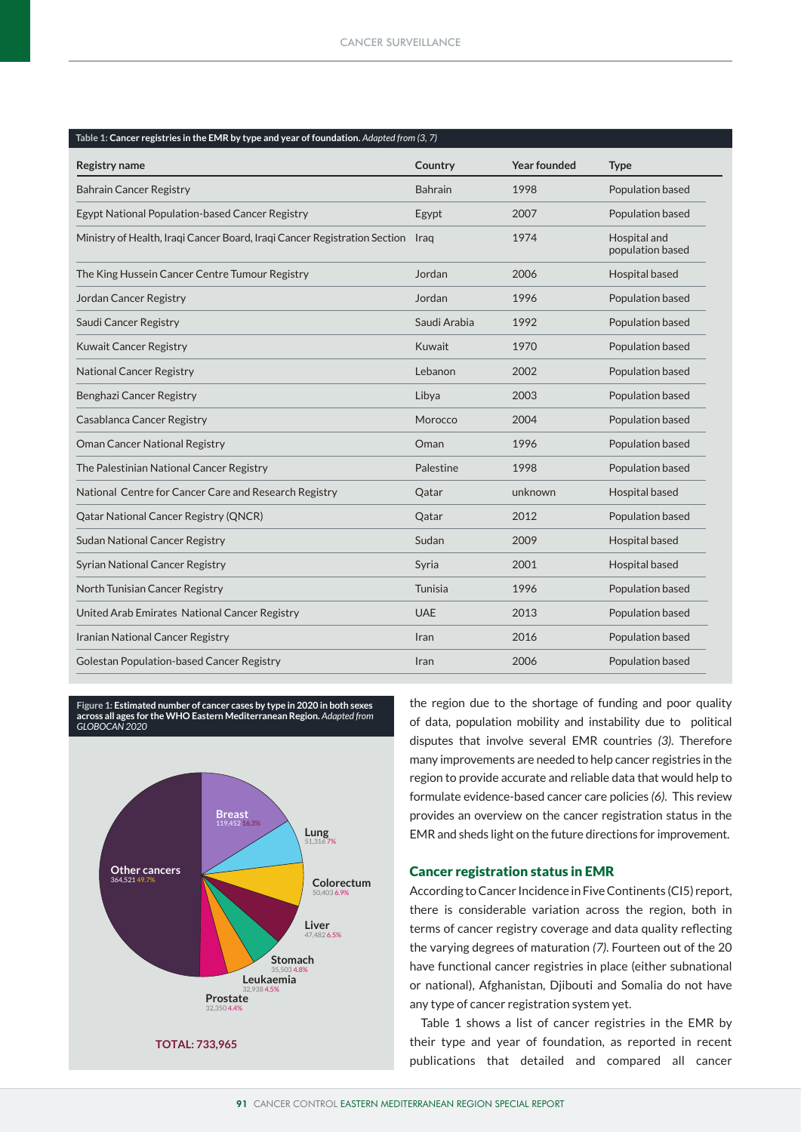| Table 1: Cancer registries in the EMR by type and year of foundation. Adapted from (3, 7) |                |                     |                                  |
|-------------------------------------------------------------------------------------------|----------------|---------------------|----------------------------------|
| <b>Registry name</b>                                                                      | Country        | <b>Year founded</b> | <b>Type</b>                      |
| <b>Bahrain Cancer Registry</b>                                                            | <b>Bahrain</b> | 1998                | Population based                 |
| Egypt National Population-based Cancer Registry                                           | Egypt          | 2007                | Population based                 |
| Ministry of Health, Iraqi Cancer Board, Iraqi Cancer Registration Section Iraq            |                | 1974                | Hospital and<br>population based |
| The King Hussein Cancer Centre Tumour Registry                                            | Jordan         | 2006                | Hospital based                   |
| Jordan Cancer Registry                                                                    | Jordan         | 1996                | Population based                 |
| Saudi Cancer Registry                                                                     | Saudi Arabia   | 1992                | Population based                 |
| <b>Kuwait Cancer Registry</b>                                                             | Kuwait         | 1970                | Population based                 |
| <b>National Cancer Registry</b>                                                           | Lebanon        | 2002                | Population based                 |
| Benghazi Cancer Registry                                                                  | Libya          | 2003                | Population based                 |
| Casablanca Cancer Registry                                                                | Morocco        | 2004                | Population based                 |
| Oman Cancer National Registry                                                             | Oman           | 1996                | Population based                 |
| The Palestinian National Cancer Registry                                                  | Palestine      | 1998                | Population based                 |
| National Centre for Cancer Care and Research Registry                                     | Qatar          | unknown             | Hospital based                   |
| Qatar National Cancer Registry (QNCR)                                                     | Qatar          | 2012                | Population based                 |
| <b>Sudan National Cancer Registry</b>                                                     | Sudan          | 2009                | Hospital based                   |
| <b>Syrian National Cancer Registry</b>                                                    | Syria          | 2001                | Hospital based                   |
| North Tunisian Cancer Registry                                                            | Tunisia        | 1996                | Population based                 |
| United Arab Emirates National Cancer Registry                                             | <b>UAE</b>     | 2013                | Population based                 |
| Iranian National Cancer Registry                                                          | Iran           | 2016                | Population based                 |
| <b>Golestan Population-based Cancer Registry</b>                                          | Iran           | 2006                | Population based                 |
|                                                                                           |                |                     |                                  |

**Figure 1: Estimated number of cancer cases by type in 2020 in both sexes across all ages for the WHO Eastern Mediterranean Region.** *Adapted from GLOBOCAN 2020* 



the region due to the shortage of funding and poor quality of data, population mobility and instability due to political disputes that involve several EMR countries *(3)*. Therefore many improvements are needed to help cancer registries in the region to provide accurate and reliable data that would help to formulate evidence-based cancer care policies (6). This review provides an overview on the cancer registration status in the EMR and sheds light on the future directions for improvement.

# Cancer registration status in EMR **Other cancers**

According to Cancer Incidence in Five Continents (CI5) report, there is considerable variation across the region, both in terms of cancer registry coverage and data quality reflecting **Stomach** the varying degrees of maturation *(7)*. Fourteen out of the 20 30,703 6.7% have functional cancer registries in place (either subnational or national), Afghanistan, Djibouti and Somalia do not have any type of cancer registration system yet.

Table 1 shows a list of cancer registries in the EMR by their type and year of foundation, as reported in recent publications that detailed and compared all cancer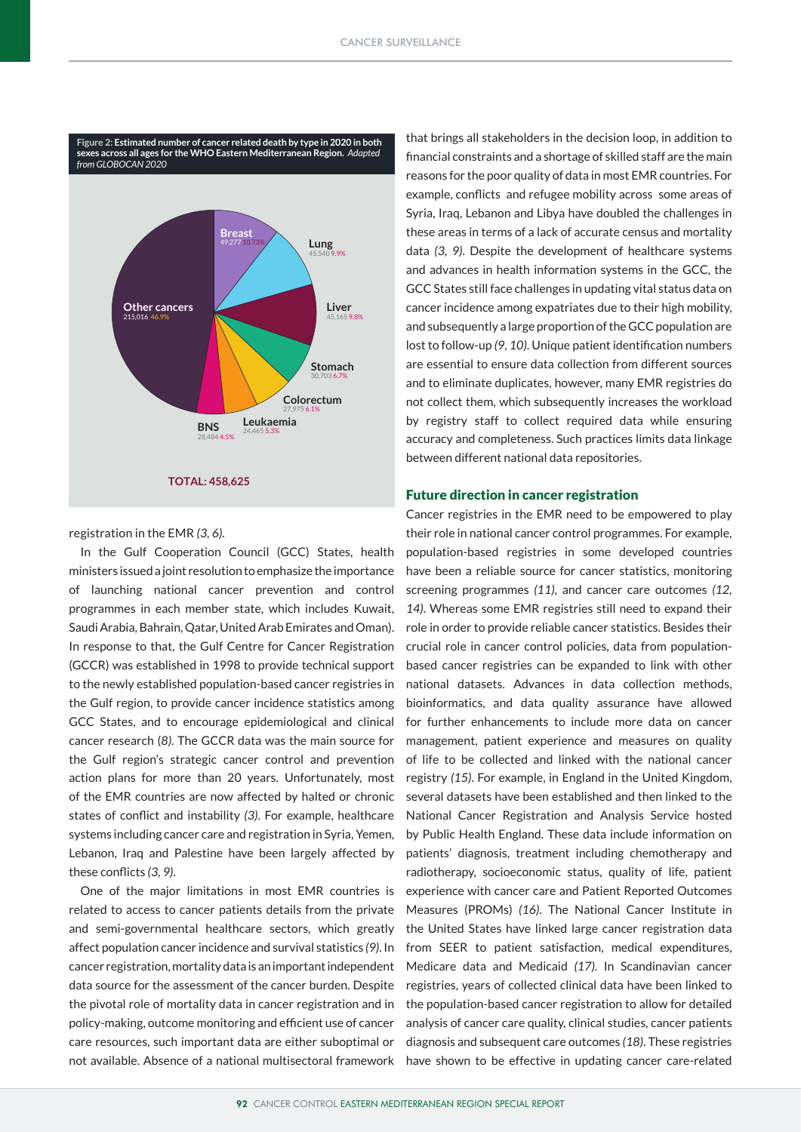

## registration in the EMR *(3, 6).*

In the Gulf Cooperation Council (GCC) States, health ministers issued a joint resolution to emphasize the importance of launching national cancer prevention and control programmes in each member state, which includes Kuwait, Saudi Arabia, Bahrain, Qatar, United Arab Emirates and Oman). In response to that, the Gulf Centre for Cancer Registration (GCCR) was established in 1998 to provide technical support to the newly established population-based cancer registries in the Gulf region, to provide cancer incidence statistics among GCC States, and to encourage epidemiological and clinical cancer research (*8)*. The GCCR data was the main source for the Gulf region's strategic cancer control and prevention action plans for more than 20 years. Unfortunately, most of the EMR countries are now affected by halted or chronic states of conflict and instability *(3)*. For example, healthcare systems including cancer care and registration in Syria, Yemen, Lebanon, Iraq and Palestine have been largely affected by these conflicts *(3, 9)*.

One of the major limitations in most EMR countries is related to access to cancer patients details from the private and semi-governmental healthcare sectors, which greatly affect population cancer incidence and survival statistics *(9)*. In cancer registration, mortality data is an important independent data source for the assessment of the cancer burden. Despite the pivotal role of mortality data in cancer registration and in policy-making, outcome monitoring and efficient use of cancer care resources, such important data are either suboptimal or not available. Absence of a national multisectoral framework that brings all stakeholders in the decision loop, in addition to financial constraints and a shortage of skilled staff are the main reasons for the poor quality of data in most EMR countries. For example, conflicts and refugee mobility across some areas of Syria, Iraq, Lebanon and Libya have doubled the challenges in these areas in terms of a lack of accurate census and mortality data *(3, 9)*. Despite the development of healthcare systems and advances in health information systems in the GCC, the GCC States still face challenges in updating vital status data on cancer incidence among expatriates due to their high mobility, and subsequently a large proportion of the GCC population are lost to follow-up *(9, 10)*. Unique patient identification numbers are essential to ensure data collection from different sources and to eliminate duplicates, however, many EMR registries do not collect them, which subsequently increases the workload by registry staff to collect required data while ensuring accuracy and completeness. Such practices limits data linkage between different national data repositories.

# Future direction in cancer registration

Cancer registries in the EMR need to be empowered to play their role in national cancer control programmes. For example, population-based registries in some developed countries have been a reliable source for cancer statistics, monitoring screening programmes *(11),* and cancer care outcomes *(12, 14)*. Whereas some EMR registries still need to expand their role in order to provide reliable cancer statistics. Besides their crucial role in cancer control policies, data from populationbased cancer registries can be expanded to link with other national datasets. Advances in data collection methods, bioinformatics, and data quality assurance have allowed for further enhancements to include more data on cancer management, patient experience and measures on quality of life to be collected and linked with the national cancer registry *(15)*. For example, in England in the United Kingdom, several datasets have been established and then linked to the National Cancer Registration and Analysis Service hosted by Public Health England. These data include information on patients' diagnosis, treatment including chemotherapy and radiotherapy, socioeconomic status, quality of life, patient experience with cancer care and Patient Reported Outcomes Measures (PROMs) *(16)*. The National Cancer Institute in the United States have linked large cancer registration data from SEER to patient satisfaction, medical expenditures, Medicare data and Medicaid *(17)*. In Scandinavian cancer registries, years of collected clinical data have been linked to the population-based cancer registration to allow for detailed analysis of cancer care quality, clinical studies, cancer patients diagnosis and subsequent care outcomes *(18)*. These registries have shown to be effective in updating cancer care-related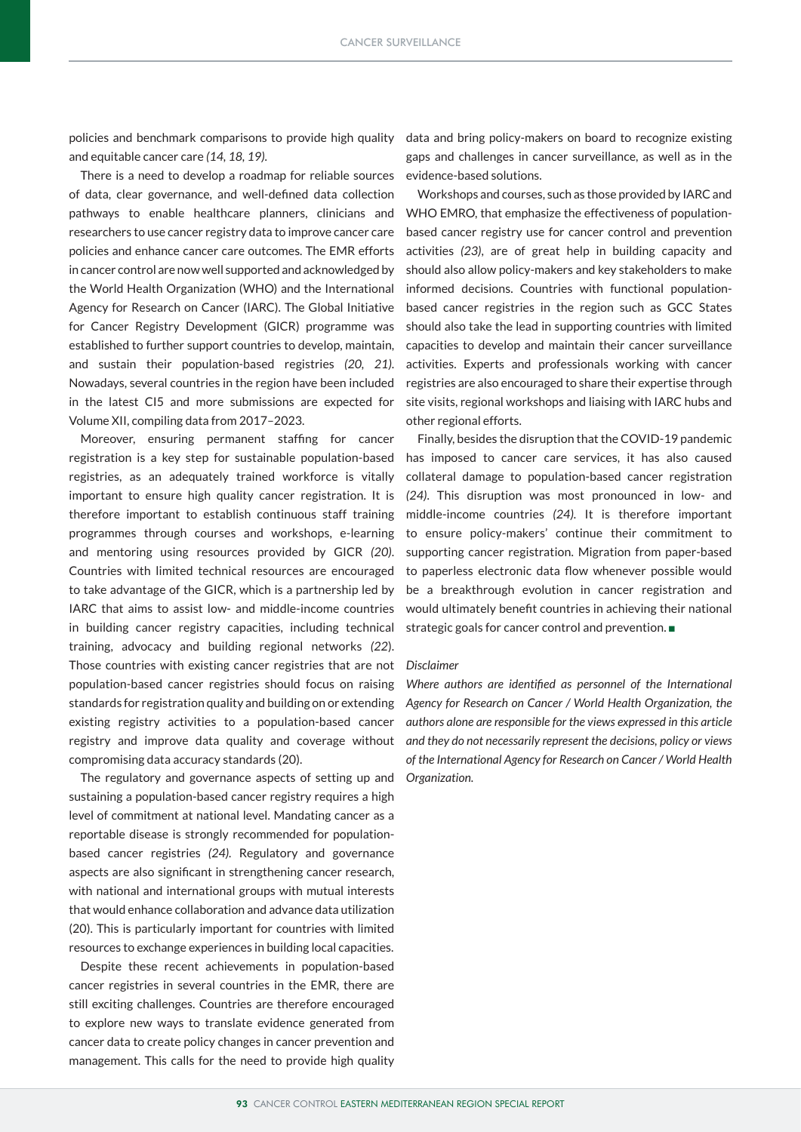policies and benchmark comparisons to provide high quality and equitable cancer care *(14, 18, 19)*.

There is a need to develop a roadmap for reliable sources of data, clear governance, and well-defined data collection pathways to enable healthcare planners, clinicians and researchers to use cancer registry data to improve cancer care policies and enhance cancer care outcomes. The EMR efforts in cancer control are now well supported and acknowledged by the World Health Organization (WHO) and the International Agency for Research on Cancer (IARC). The Global Initiative for Cancer Registry Development (GICR) programme was established to further support countries to develop, maintain, and sustain their population-based registries *(20, 21)*. Nowadays, several countries in the region have been included in the latest CI5 and more submissions are expected for Volume XII, compiling data from 2017–2023.

Moreover, ensuring permanent staffing for cancer registration is a key step for sustainable population-based registries, as an adequately trained workforce is vitally important to ensure high quality cancer registration. It is therefore important to establish continuous staff training programmes through courses and workshops, e-learning and mentoring using resources provided by GICR *(20)*. Countries with limited technical resources are encouraged to take advantage of the GICR, which is a partnership led by IARC that aims to assist low- and middle-income countries in building cancer registry capacities, including technical training, advocacy and building regional networks *(22*). Those countries with existing cancer registries that are not population-based cancer registries should focus on raising standards for registration quality and building on or extending existing registry activities to a population-based cancer registry and improve data quality and coverage without compromising data accuracy standards (20).

The regulatory and governance aspects of setting up and sustaining a population-based cancer registry requires a high level of commitment at national level. Mandating cancer as a reportable disease is strongly recommended for populationbased cancer registries *(24).* Regulatory and governance aspects are also significant in strengthening cancer research, with national and international groups with mutual interests that would enhance collaboration and advance data utilization (20). This is particularly important for countries with limited resources to exchange experiences in building local capacities.

Despite these recent achievements in population-based cancer registries in several countries in the EMR, there are still exciting challenges. Countries are therefore encouraged to explore new ways to translate evidence generated from cancer data to create policy changes in cancer prevention and management. This calls for the need to provide high quality data and bring policy-makers on board to recognize existing gaps and challenges in cancer surveillance, as well as in the evidence-based solutions.

Workshops and courses, such as those provided by IARC and WHO EMRO, that emphasize the effectiveness of populationbased cancer registry use for cancer control and prevention activities *(23)*, are of great help in building capacity and should also allow policy-makers and key stakeholders to make informed decisions. Countries with functional populationbased cancer registries in the region such as GCC States should also take the lead in supporting countries with limited capacities to develop and maintain their cancer surveillance activities. Experts and professionals working with cancer registries are also encouraged to share their expertise through site visits, regional workshops and liaising with IARC hubs and other regional efforts.

Finally, besides the disruption that the COVID-19 pandemic has imposed to cancer care services, it has also caused collateral damage to population-based cancer registration *(24)*. This disruption was most pronounced in low- and middle-income countries *(24).* It is therefore important to ensure policy-makers' continue their commitment to supporting cancer registration. Migration from paper-based to paperless electronic data flow whenever possible would be a breakthrough evolution in cancer registration and would ultimately benefit countries in achieving their national strategic goals for cancer control and prevention.

### *Disclaimer*

*Where authors are identified as personnel of the International Agency for Research on Cancer / World Health Organization, the authors alone are responsible for the views expressed in this article and they do not necessarily represent the decisions, policy or views of the International Agency for Research on Cancer / World Health Organization.*